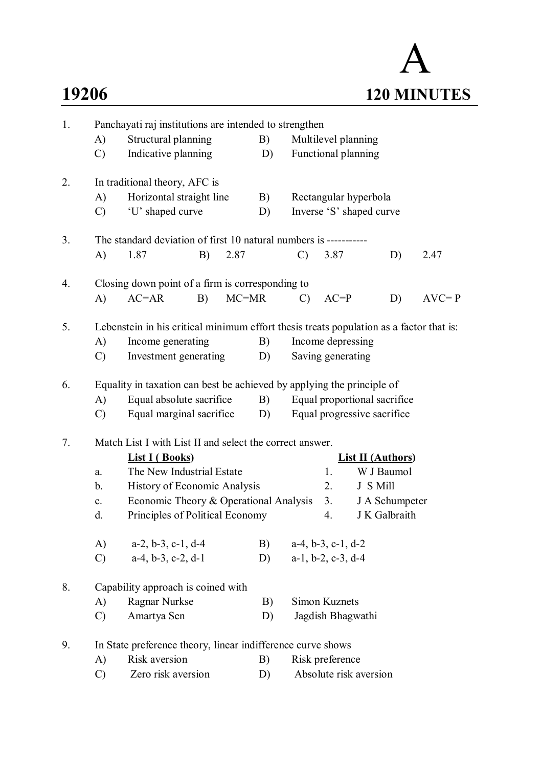# A **19206 120 MINUTES**

| 1. | Panchayati raj institutions are intended to strengthen            |                                                                                         |    |                   |                     |                             |                               |                              |    |           |  |  |
|----|-------------------------------------------------------------------|-----------------------------------------------------------------------------------------|----|-------------------|---------------------|-----------------------------|-------------------------------|------------------------------|----|-----------|--|--|
|    | A)                                                                | Structural planning                                                                     |    | B)                | Multilevel planning |                             |                               |                              |    |           |  |  |
|    | $\mathcal{C}$                                                     | Indicative planning                                                                     |    |                   | D)                  |                             |                               | Functional planning          |    |           |  |  |
| 2. |                                                                   | In traditional theory, AFC is                                                           |    |                   |                     |                             |                               |                              |    |           |  |  |
|    | $\bf{A}$                                                          | Horizontal straight line                                                                |    |                   | B)                  |                             |                               | Rectangular hyperbola        |    |           |  |  |
|    | $\mathcal{C}$                                                     | 'U' shaped curve                                                                        |    |                   | D)                  |                             |                               | Inverse 'S' shaped curve     |    |           |  |  |
| 3. | The standard deviation of first 10 natural numbers is ----------- |                                                                                         |    |                   |                     |                             |                               |                              |    |           |  |  |
|    | A)                                                                | 1.87                                                                                    | B) | 2.87              |                     | $\mathcal{C}$               | 3.87                          |                              | D) | 2.47      |  |  |
| 4. | Closing down point of a firm is corresponding to                  |                                                                                         |    |                   |                     |                             |                               |                              |    |           |  |  |
|    | $\mathbf{A}$                                                      | $AC=AR$                                                                                 | B) | $MC=MR$           |                     | $\mathcal{C}$               | $AC = P$                      |                              | D) | $AVC = P$ |  |  |
| 5. |                                                                   | Lebenstein in his critical minimum effort thesis treats population as a factor that is: |    |                   |                     |                             |                               |                              |    |           |  |  |
|    | A)                                                                | Income generating                                                                       |    |                   | B)                  | Income depressing           |                               |                              |    |           |  |  |
|    | $\mathcal{C}$                                                     | Investment generating                                                                   | D) | Saving generating |                     |                             |                               |                              |    |           |  |  |
| 6. |                                                                   | Equality in taxation can best be achieved by applying the principle of                  |    |                   |                     |                             |                               |                              |    |           |  |  |
|    | A)                                                                | Equal absolute sacrifice                                                                |    |                   |                     |                             |                               | Equal proportional sacrifice |    |           |  |  |
|    | $\mathcal{C}$                                                     | Equal marginal sacrifice                                                                | D) |                   |                     | Equal progressive sacrifice |                               |                              |    |           |  |  |
| 7. | Match List I with List II and select the correct answer.          |                                                                                         |    |                   |                     |                             |                               |                              |    |           |  |  |
|    |                                                                   | <b>List I</b> (Books)                                                                   |    |                   |                     | <b>List II (Authors)</b>    |                               |                              |    |           |  |  |
|    | a.                                                                | The New Industrial Estate                                                               |    |                   |                     |                             | 1.                            | W J Baumol                   |    |           |  |  |
|    | b.                                                                | History of Economic Analysis                                                            |    |                   |                     |                             | 2.                            | J S Mill                     |    |           |  |  |
|    | $\mathbf{c}$ .                                                    | Economic Theory & Operational Analysis                                                  |    |                   |                     |                             | 3.                            | J A Schumpeter               |    |           |  |  |
|    | d.                                                                | Principles of Political Economy                                                         |    |                   |                     |                             | 4.                            | J K Galbraith                |    |           |  |  |
|    | A)                                                                | $a-2$ , $b-3$ , $c-1$ , $d-4$                                                           |    |                   | B)                  | $a-4, b-3, c-1, d-2$        |                               |                              |    |           |  |  |
|    | $\mathcal{C}$                                                     | $a-4$ , $b-3$ , $c-2$ , $d-1$                                                           |    |                   | D)                  |                             | $a-1$ , $b-2$ , $c-3$ , $d-4$ |                              |    |           |  |  |
| 8. |                                                                   | Capability approach is coined with                                                      |    |                   |                     |                             |                               |                              |    |           |  |  |
|    | A)                                                                | Ragnar Nurkse                                                                           |    |                   | B)                  | Simon Kuznets               |                               |                              |    |           |  |  |
|    | $\mathcal{C}$                                                     | Amartya Sen                                                                             | D) | Jagdish Bhagwathi |                     |                             |                               |                              |    |           |  |  |
| 9. |                                                                   | In State preference theory, linear indifference curve shows                             |    |                   |                     |                             |                               |                              |    |           |  |  |
|    | A)                                                                | Risk aversion                                                                           |    |                   | B)                  |                             | Risk preference               |                              |    |           |  |  |
|    | $\mathcal{C}$                                                     | Zero risk aversion<br>D)                                                                |    |                   |                     | Absolute risk aversion      |                               |                              |    |           |  |  |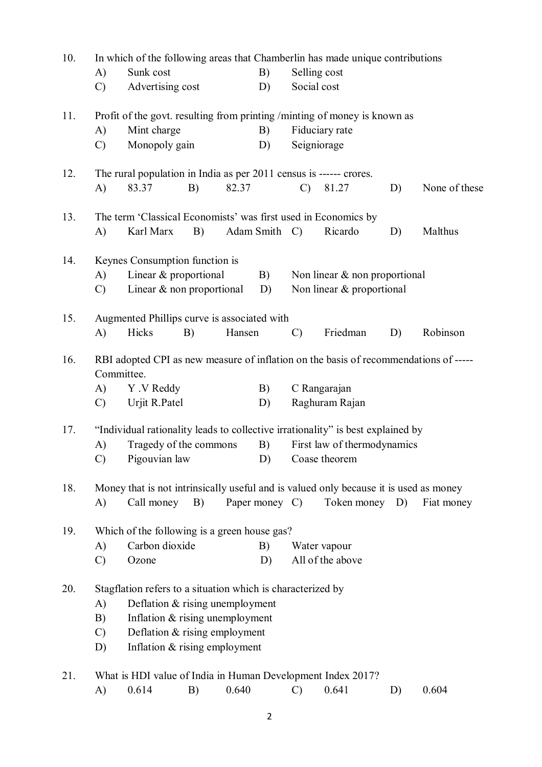| 10. |                                                                                       |                                                                                 |    |        |                |                             | In which of the following areas that Chamberlin has made unique contributions |    |               |  |
|-----|---------------------------------------------------------------------------------------|---------------------------------------------------------------------------------|----|--------|----------------|-----------------------------|-------------------------------------------------------------------------------|----|---------------|--|
|     | A)                                                                                    | Sunk cost                                                                       |    |        | B)             | Selling cost                |                                                                               |    |               |  |
|     | $\mathcal{C}$                                                                         | Advertising cost                                                                |    |        | D)             | Social cost                 |                                                                               |    |               |  |
| 11. | Profit of the govt. resulting from printing /minting of money is known as             |                                                                                 |    |        |                |                             |                                                                               |    |               |  |
|     | A)                                                                                    | Mint charge                                                                     |    |        | B)             |                             | Fiduciary rate                                                                |    |               |  |
|     | $\mathcal{C}$                                                                         | Monopoly gain                                                                   |    |        | D)             | Seigniorage                 |                                                                               |    |               |  |
| 12. |                                                                                       | The rural population in India as per 2011 census is ------ crores.              |    |        |                |                             |                                                                               |    |               |  |
|     | A)                                                                                    | 83.37                                                                           | B) | 82.37  |                | $\mathcal{C}$               | 81.27                                                                         | D) | None of these |  |
| 13. |                                                                                       | The term 'Classical Economists' was first used in Economics by                  |    |        |                |                             |                                                                               |    |               |  |
|     | A)                                                                                    | Karl Marx                                                                       | B) |        | Adam Smith C)  |                             | Ricardo                                                                       | D) | Malthus       |  |
| 14. |                                                                                       | Keynes Consumption function is                                                  |    |        |                |                             |                                                                               |    |               |  |
|     | A)                                                                                    | Linear & proportional                                                           |    |        | B)             |                             | Non linear $\&$ non proportional                                              |    |               |  |
|     |                                                                                       | Linear $&$ non proportional<br>Non linear & proportional<br>D)<br>$\mathcal{C}$ |    |        |                |                             |                                                                               |    |               |  |
| 15. | Augmented Phillips curve is associated with                                           |                                                                                 |    |        |                |                             |                                                                               |    |               |  |
|     | $\mathbf{A}$                                                                          | Hicks                                                                           | B) | Hansen |                | $\mathcal{C}$               | Friedman                                                                      | D) | Robinson      |  |
| 16. | RBI adopted CPI as new measure of inflation on the basis of recommendations of -----  |                                                                                 |    |        |                |                             |                                                                               |    |               |  |
|     | Committee.                                                                            |                                                                                 |    |        |                |                             |                                                                               |    |               |  |
|     | A)                                                                                    | Y . V Reddy                                                                     |    |        | B)             |                             | C Rangarajan                                                                  |    |               |  |
|     | $\mathcal{C}$                                                                         | Urjit R.Patel                                                                   |    |        | D)             |                             | Raghuram Rajan                                                                |    |               |  |
| 17. | "Individual rationality leads to collective irrationality" is best explained by       |                                                                                 |    |        |                |                             |                                                                               |    |               |  |
|     | A)                                                                                    | Tragedy of the commons                                                          |    |        | B)             | First law of thermodynamics |                                                                               |    |               |  |
|     | $\mathcal{C}$                                                                         | Pigouvian law D) Coase theorem                                                  |    |        |                |                             |                                                                               |    |               |  |
| 18. | Money that is not intrinsically useful and is valued only because it is used as money |                                                                                 |    |        |                |                             |                                                                               |    |               |  |
|     | A)                                                                                    | Call money                                                                      | B) |        | Paper money C) |                             | Token money                                                                   | D) | Fiat money    |  |
| 19. | Which of the following is a green house gas?                                          |                                                                                 |    |        |                |                             |                                                                               |    |               |  |
|     | A)                                                                                    | Carbon dioxide                                                                  |    |        | B)             |                             | Water vapour                                                                  |    |               |  |
|     | $\mathcal{C}$                                                                         | Ozone                                                                           |    |        | D)             |                             | All of the above                                                              |    |               |  |
| 20. | Stagflation refers to a situation which is characterized by                           |                                                                                 |    |        |                |                             |                                                                               |    |               |  |
|     | A)                                                                                    | Deflation $&$ rising unemployment                                               |    |        |                |                             |                                                                               |    |               |  |
|     | Inflation & rising unemployment<br>B)                                                 |                                                                                 |    |        |                |                             |                                                                               |    |               |  |
|     | $\mathcal{C}$                                                                         | Deflation & rising employment                                                   |    |        |                |                             |                                                                               |    |               |  |
|     | D)                                                                                    | Inflation & rising employment                                                   |    |        |                |                             |                                                                               |    |               |  |
| 21. |                                                                                       |                                                                                 |    |        |                |                             | What is HDI value of India in Human Development Index 2017?                   |    |               |  |
|     | A)                                                                                    | 0.614                                                                           | B) | 0.640  |                | $\mathcal{C}$               | 0.641                                                                         | D) | 0.604         |  |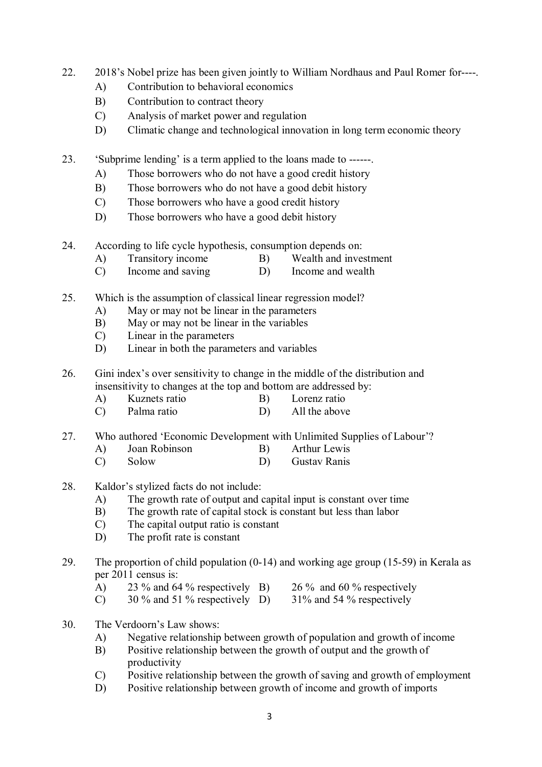- 22. 2018's Nobel prize has been given jointly to William Nordhaus and Paul Romer for----.
	- A) Contribution to behavioral economics
	- B) Contribution to contract theory
	- C) Analysis of market power and regulation
	- D) Climatic change and technological innovation in long term economic theory
- 23. 'Subprime lending' is a term applied to the loans made to ------.
	- A) Those borrowers who do not have a good credit history
	- B) Those borrowers who do not have a good debit history
	- C) Those borrowers who have a good credit history
	- D) Those borrowers who have a good debit history
- 24. According to life cycle hypothesis, consumption depends on:
	- A) Transitory income B) Wealth and investment
	- C) Income and saving D) Income and wealth
- 25. Which is the assumption of classical linear regression model?
	- A) May or may not be linear in the parameters
	- B) May or may not be linear in the variables
	- C) Linear in the parameters
	- D) Linear in both the parameters and variables
- 26. Gini index's over sensitivity to change in the middle of the distribution and insensitivity to changes at the top and bottom are addressed by:
	- A) Kuznets ratio B) Lorenz ratio
	- C) Palma ratio D) All the above
- 27. Who authored 'Economic Development with Unlimited Supplies of Labour'?
	- A) Joan Robinson B) Arthur Lewis
	- C) Solow D) Gustav Ranis
- 28. Kaldor's stylized facts do not include:
	- A) The growth rate of output and capital input is constant over time
	- B) The growth rate of capital stock is constant but less than labor
	- C) The capital output ratio is constant
	- D) The profit rate is constant
- 29. The proportion of child population (0-14) and working age group (15-59) in Kerala as per 2011 census is:
	- A) 23 % and 64 % respectively B) 26 % and 60 % respectively
	- C) 30 % and 51 % respectively D) 31% and 54 % respectively
- 30. The Verdoorn's Law shows:
	- A) Negative relationship between growth of population and growth of income
	- B) Positive relationship between the growth of output and the growth of productivity
	- C) Positive relationship between the growth of saving and growth of employment
	- D) Positive relationship between growth of income and growth of imports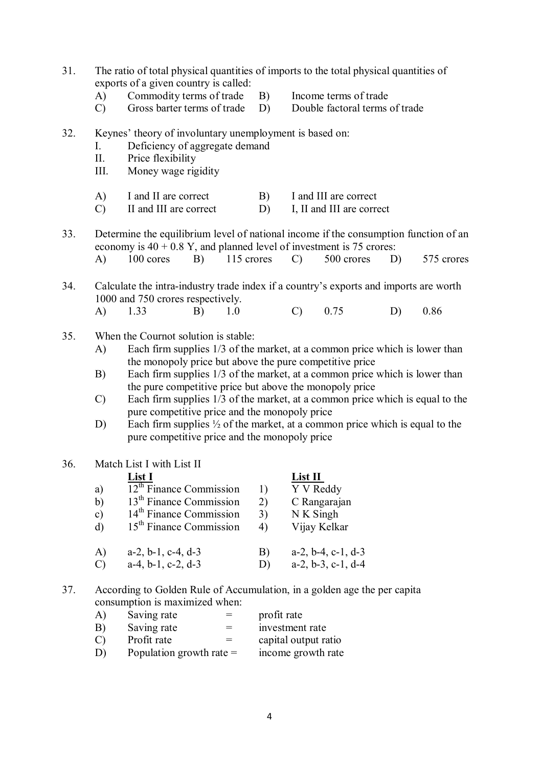| 31. | The ratio of total physical quantities of imports to the total physical quantities of<br>exports of a given country is called: |                                                                                                                                                                                           |    |            |                                     |                      |                                                    |    |            |  |  |
|-----|--------------------------------------------------------------------------------------------------------------------------------|-------------------------------------------------------------------------------------------------------------------------------------------------------------------------------------------|----|------------|-------------------------------------|----------------------|----------------------------------------------------|----|------------|--|--|
|     | A)                                                                                                                             | Commodity terms of trade                                                                                                                                                                  |    |            | B)<br>Income terms of trade         |                      |                                                    |    |            |  |  |
|     | $\mathcal{C}$                                                                                                                  | Gross barter terms of trade<br>D)<br>Double factoral terms of trade                                                                                                                       |    |            |                                     |                      |                                                    |    |            |  |  |
| 32. | Keynes' theory of involuntary unemployment is based on:<br>Deficiency of aggregate demand<br>I.                                |                                                                                                                                                                                           |    |            |                                     |                      |                                                    |    |            |  |  |
|     | П.<br>III.                                                                                                                     | Price flexibility<br>Money wage rigidity                                                                                                                                                  |    |            |                                     |                      |                                                    |    |            |  |  |
|     | A)<br>$\mathcal{C}$                                                                                                            | I and II are correct<br>II and III are correct                                                                                                                                            |    |            | B)<br>D)                            |                      | I and III are correct<br>I, II and III are correct |    |            |  |  |
| 33. |                                                                                                                                | Determine the equilibrium level of national income if the consumption function of an<br>economy is $40 + 0.8$ Y, and planned level of investment is 75 crores:                            |    |            |                                     |                      |                                                    |    |            |  |  |
|     | A)                                                                                                                             | 100 cores                                                                                                                                                                                 | B) | 115 crores |                                     | $\mathcal{C}$        | 500 crores                                         | D) | 575 crores |  |  |
| 34. |                                                                                                                                | Calculate the intra-industry trade index if a country's exports and imports are worth<br>1000 and 750 crores respectively.                                                                |    |            |                                     |                      |                                                    |    |            |  |  |
|     | A)                                                                                                                             | 1.33                                                                                                                                                                                      | B) | 1.0        |                                     | $\mathcal{C}$        | 0.75                                               | D) | 0.86       |  |  |
| 35. | When the Cournot solution is stable:<br>Each firm supplies 1/3 of the market, at a common price which is lower than<br>A)      |                                                                                                                                                                                           |    |            |                                     |                      |                                                    |    |            |  |  |
|     | B)                                                                                                                             | the monopoly price but above the pure competitive price<br>Each firm supplies 1/3 of the market, at a common price which is lower than                                                    |    |            |                                     |                      |                                                    |    |            |  |  |
|     | $\mathcal{C}$                                                                                                                  | the pure competitive price but above the monopoly price<br>Each firm supplies 1/3 of the market, at a common price which is equal to the<br>pure competitive price and the monopoly price |    |            |                                     |                      |                                                    |    |            |  |  |
|     | D)                                                                                                                             | Each firm supplies $\frac{1}{2}$ of the market, at a common price which is equal to the<br>pure competitive price and the monopoly price                                                  |    |            |                                     |                      |                                                    |    |            |  |  |
| 36. | Match List I with List II<br>List II<br>List I                                                                                 |                                                                                                                                                                                           |    |            |                                     |                      |                                                    |    |            |  |  |
|     | a)                                                                                                                             | $12^{\text{th}}$ Finance Commission                                                                                                                                                       |    |            | Y V Reddy<br>1)                     |                      |                                                    |    |            |  |  |
|     | b)                                                                                                                             | 13 <sup>th</sup> Finance Commission                                                                                                                                                       |    |            | C Rangarajan<br>2)                  |                      |                                                    |    |            |  |  |
|     | c)                                                                                                                             | 14 <sup>th</sup> Finance Commission                                                                                                                                                       |    |            | 3)                                  | N K Singh            |                                                    |    |            |  |  |
|     | d)                                                                                                                             | 15 <sup>th</sup> Finance Commission                                                                                                                                                       |    |            | Vijay Kelkar<br>4)                  |                      |                                                    |    |            |  |  |
|     | A)                                                                                                                             | $a-2$ , $b-1$ , $c-4$ , $d-3$                                                                                                                                                             |    |            | $a-2$ , $b-4$ , $c-1$ , $d-3$<br>B) |                      |                                                    |    |            |  |  |
|     | $\mathcal{C}$                                                                                                                  | $a-4$ , $b-1$ , $c-2$ , $d-3$                                                                                                                                                             |    |            | D)                                  |                      | $a-2, b-3, c-1, d-4$                               |    |            |  |  |
| 37. | According to Golden Rule of Accumulation, in a golden age the per capita<br>consumption is maximized when:                     |                                                                                                                                                                                           |    |            |                                     |                      |                                                    |    |            |  |  |
|     | A)                                                                                                                             | Saving rate                                                                                                                                                                               |    |            | profit rate                         |                      |                                                    |    |            |  |  |
|     | B)                                                                                                                             | Saving rate                                                                                                                                                                               |    | $=$        |                                     | investment rate      |                                                    |    |            |  |  |
|     | $\mathcal{C}$                                                                                                                  | Profit rate                                                                                                                                                                               |    | $=$        |                                     | capital output ratio |                                                    |    |            |  |  |

 $D)$  Population growth rate = income growth rate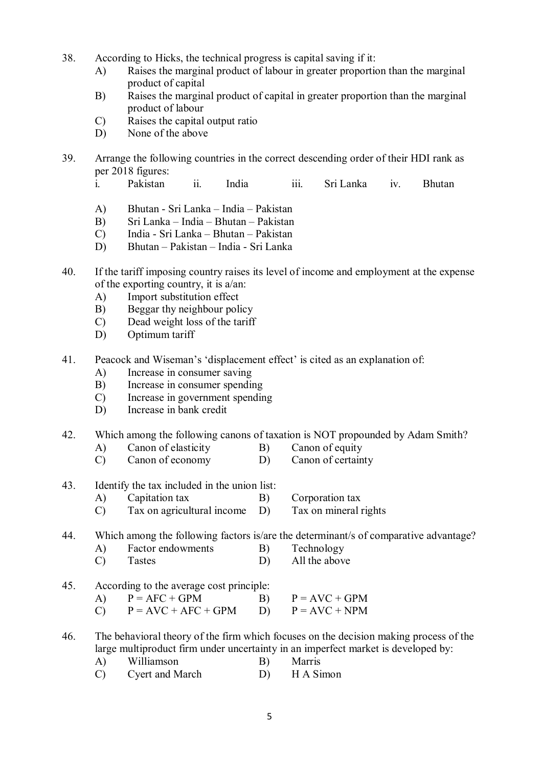- 38. According to Hicks, the technical progress is capital saving if it:
	- A) Raises the marginal product of labour in greater proportion than the marginal product of capital
	- B) Raises the marginal product of capital in greater proportion than the marginal product of labour
	- C) Raises the capital output ratio
	- D) None of the above
- 39. Arrange the following countries in the correct descending order of their HDI rank as per 2018 figures:
	- i. Pakistan ii. India iii. Sri Lanka iv. Bhutan
	- A) Bhutan Sri Lanka India Pakistan
	- B) Sri Lanka India Bhutan Pakistan
	- C) India Sri Lanka Bhutan Pakistan
	- D) Bhutan Pakistan India Sri Lanka
- 40. If the tariff imposing country raises its level of income and employment at the expense of the exporting country, it is a/an:
	- A) Import substitution effect
	- B) Beggar thy neighbour policy
	- C) Dead weight loss of the tariff
	- D) Optimum tariff
- 41. Peacock and Wiseman's 'displacement effect' is cited as an explanation of:
	- A) Increase in consumer saving
	- B) Increase in consumer spending
	- C) Increase in government spending
	- D) Increase in bank credit
- 42. Which among the following canons of taxation is NOT propounded by Adam Smith?
	- A) Canon of elasticity B) Canon of equity
	- C) Canon of economy D) Canon of certainty
- 43. Identify the tax included in the union list:
	- A) Capitation tax B) Corporation tax
	- C) Tax on agricultural income D) Tax on mineral rights

# 44. Which among the following factors is/are the determinant/s of comparative advantage?

- A) Factor endowments B) Technology
- C) Tastes D) All the above
- 45. According to the average cost principle:

| A) $P = AFC + GPM$ | $P = AVC + GPM$ |  |
|--------------------|-----------------|--|
|                    |                 |  |

C)  $P = AVC + AFC + GPM$  D)  $P = AVC + NPM$ 

46. The behavioral theory of the firm which focuses on the decision making process of the large multiproduct firm under uncertainty in an imperfect market is developed by:

- A) Williamson B) Marris
- C) Cyert and March D) H A Simon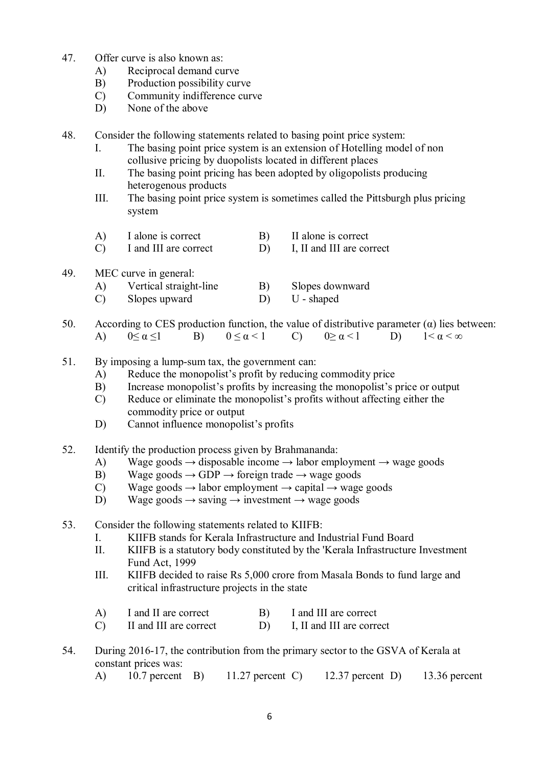- 47. Offer curve is also known as:
	- A) Reciprocal demand curve
	- B) Production possibility curve
	- C) Community indifference curve
	- D) None of the above

48. Consider the following statements related to basing point price system:

- I. The basing point price system is an extension of Hotelling model of non collusive pricing by duopolists located in different places
- II. The basing point pricing has been adopted by oligopolists producing heterogenous products
- III. The basing point price system is sometimes called the Pittsburgh plus pricing system
- A) I alone is correct B) II alone is correct
- C) I and III are correct D) I, II and III are correct
- 49. MEC curve in general:
	- A) Vertical straight-line B) Slopes downward<br>
	C) Slopes upward D) U shaped
	- $Slopes upward$   $D)$
- 50. According to CES production function, the value of distributive parameter  $(\alpha)$  lies between: A)  $0 \le \alpha \le 1$  B)  $0 \le \alpha < 1$  C)  $0 \ge \alpha < 1$  D)  $1 < \alpha < \infty$
- 51. By imposing a lump-sum tax, the government can:
	- A) Reduce the monopolist's profit by reducing commodity price
	- B) Increase monopolist's profits by increasing the monopolist's price or output
	- C) Reduce or eliminate the monopolist's profits without affecting either the commodity price or output
	- D) Cannot influence monopolist's profits
- 52. Identify the production process given by Brahmananda:
	- A) Wage goods  $\rightarrow$  disposable income  $\rightarrow$  labor employment  $\rightarrow$  wage goods
	- B) Wage goods  $\rightarrow$  GDP  $\rightarrow$  foreign trade  $\rightarrow$  wage goods
	- C) Wage goods  $\rightarrow$  labor employment  $\rightarrow$  capital  $\rightarrow$  wage goods
	- D) Wage goods  $\rightarrow$  saving  $\rightarrow$  investment  $\rightarrow$  wage goods
- 53. Consider the following statements related to KIIFB:
	- I. KIIFB stands for Kerala Infrastructure and Industrial Fund Board
	- II. KIIFB is a statutory body constituted by the 'Kerala Infrastructure Investment Fund Act, 1999
	- III. KIIFB decided to raise Rs 5,000 crore from Masala Bonds to fund large and critical infrastructure projects in the state
	- A) I and II are correct B) I and III are correct
	- C) II and III are correct D) I, II and III are correct
- 54. During 2016-17, the contribution from the primary sector to the GSVA of Kerala at constant prices was:
	- A) 10.7 percent B) 11.27 percent C) 12.37 percent D) 13.36 percent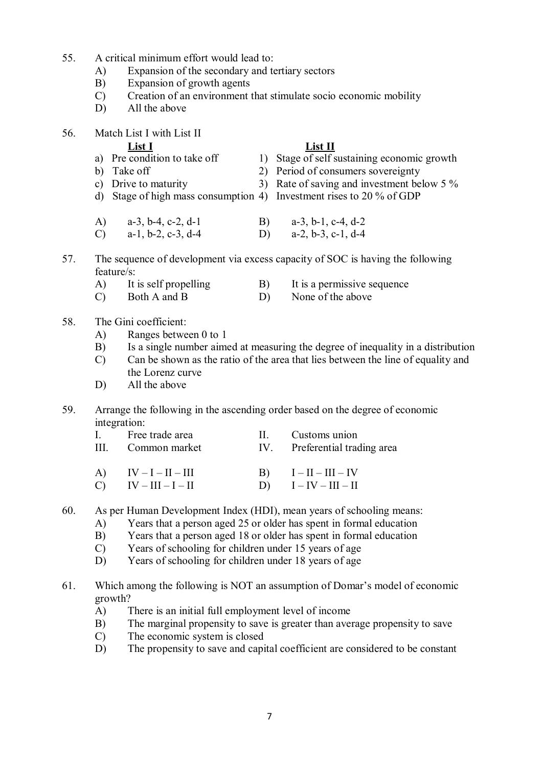- 55. A critical minimum effort would lead to:
	- A) Expansion of the secondary and tertiary sectors
	- B) Expansion of growth agents
	- C) Creation of an environment that stimulate socio economic mobility
	- D) All the above
- 56. Match List I with List II

# **List I List II**

- a) Pre condition to take off  $\qquad$  1) Stage of self sustaining economic growth b) Take off 2) Period of consumers sovereignty c) Drive to maturity 3) Rate of saving and investment below 5 % d) Stage of high mass consumption 4) Investment rises to 20 % of GDP
- A) a-3, b-4, c-2, d-1 B) a-3, b-1, c-4, d-2 C) a-1, b-2, c-3, d-4 D) a-2, b-3, c-1, d-4
- 57. The sequence of development via excess capacity of SOC is having the following feature/s:
	- A) It is self propelling B) It is a permissive sequence<br>
	C) Both A and B D) None of the above
	- C) Both A and B D) None of the above

# 58. The Gini coefficient:

- A) Ranges between 0 to 1
- B) Is a single number aimed at measuring the degree of inequality in a distribution
- C) Can be shown as the ratio of the area that lies between the line of equality and the Lorenz curve
- D) All the above

# 59. Arrange the following in the ascending order based on the degree of economic integration:

| Free trade area    | II. Customs union             |
|--------------------|-------------------------------|
| III. Common market | IV. Preferential trading area |

- A)  $IV-I-II-III$  B)  $I-II-III-IV$ C)  $IV - III - I - II$  D)  $I - IV - III - II$
- 60. As per Human Development Index (HDI), mean years of schooling means:
	- A) Years that a person aged 25 or older has spent in formal education B) Years that a person aged 18 or older has spent in formal education
	- Years that a person aged 18 or older has spent in formal education
	- C) Years of schooling for children under 15 years of age
	- D) Years of schooling for children under 18 years of age
- 61. Which among the following is NOT an assumption of Domar's model of economic growth?
	- A) There is an initial full employment level of income
	- B) The marginal propensity to save is greater than average propensity to save
	- C) The economic system is closed
	- D) The propensity to save and capital coefficient are considered to be constant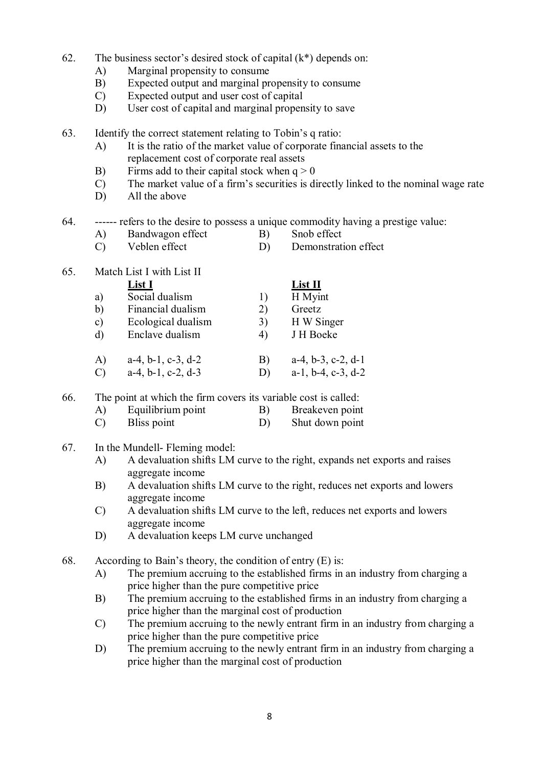- 62. The business sector's desired stock of capital  $(k^*)$  depends on:
	- A) Marginal propensity to consume
	- B) Expected output and marginal propensity to consume
	- C) Expected output and user cost of capital
	- D) User cost of capital and marginal propensity to save
- 63. Identify the correct statement relating to Tobin's q ratio:
	- A) It is the ratio of the market value of corporate financial assets to the replacement cost of corporate real assets
	- B) Firms add to their capital stock when  $q > 0$
	- C) The market value of a firm's securities is directly linked to the nominal wage rate
	- D) All the above
- 64. ------ refers to the desire to possess a unique commodity having a prestige value:
	- A) Bandwagon effect B) Snob effect
	- C) Veblen effect D) Demonstration effect
- 65. Match List I with List II

|               | List I                        |    | List II                       |
|---------------|-------------------------------|----|-------------------------------|
| a)            | Social dualism                |    | H Myint                       |
| b)            | Financial dualism             | 2) | Greetz                        |
| $\mathbf{c})$ | Ecological dualism            | 3) | H W Singer                    |
| $\rm d$       | Enclave dualism               | 4) | J H Boeke                     |
| A)            | $a-4$ , $b-1$ , $c-3$ , $d-2$ | B) | $a-4, b-3, c-2, d-1$          |
|               | $a-4$ , $b-1$ , $c-2$ , $d-3$ | D) | $a-1$ , $b-4$ , $c-3$ , $d-2$ |

66. The point at which the firm covers its variable cost is called:

- A) Equilibrium point B) Breakeven point
- C) Bliss point D) Shut down point
- 67. In the Mundell- Fleming model:
	- A) A devaluation shifts LM curve to the right, expands net exports and raises aggregate income
	- B) A devaluation shifts LM curve to the right, reduces net exports and lowers aggregate income
	- C) A devaluation shifts LM curve to the left, reduces net exports and lowers aggregate income
	- D) A devaluation keeps LM curve unchanged
- 68. According to Bain's theory, the condition of entry (E) is:
	- A) The premium accruing to the established firms in an industry from charging a price higher than the pure competitive price
	- B) The premium accruing to the established firms in an industry from charging a price higher than the marginal cost of production
	- C) The premium accruing to the newly entrant firm in an industry from charging a price higher than the pure competitive price
	- D) The premium accruing to the newly entrant firm in an industry from charging a price higher than the marginal cost of production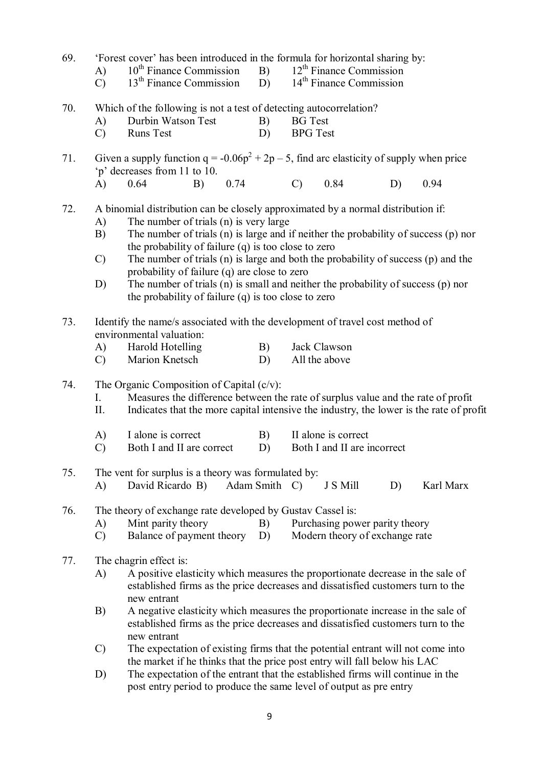69. 'Forest cover' has been introduced in the formula for horizontal sharing by:<br>A)  $10^{th}$  Finance Commission B)  $12^{th}$  Finance Commission A)  $10^{th}$  Finance Commission B)  $12^{th}$  Finance Commission<br>C)  $13^{th}$  Finance Commission D)  $14^{th}$  Finance Commission  $\overrightarrow{CD}$  13<sup>th</sup> Finance Commission D) 70. Which of the following is not a test of detecting autocorrelation? A) Durbin Watson Test B) BG Test<br>
C) Runs Test D) BPG Test C) Runs Test 71. Given a supply function  $q = -0.06p^2 + 2p - 5$ , find arc elasticity of supply when price 'p' decreases from 11 to 10. A) 0.64 B) 0.74 C) 0.84 D) 0.94 72. A binomial distribution can be closely approximated by a normal distribution if: A) The number of trials (n) is very large B) The number of trials (n) is large and if neither the probability of success (p) nor the probability of failure (q) is too close to zero C) The number of trials (n) is large and both the probability of success (p) and the probability of failure (q) are close to zero D) The number of trials (n) is small and neither the probability of success (p) nor the probability of failure (q) is too close to zero 73. Identify the name/s associated with the development of travel cost method of environmental valuation: A) Harold Hotelling B) Jack Clawson C) Marion Knetsch D) All the above 74. The Organic Composition of Capital  $(c/v)$ : I. Measures the difference between the rate of surplus value and the rate of profit II. Indicates that the more capital intensive the industry, the lower is the rate of profit A) I alone is correct B) II alone is correct C) Both I and II are correct D) Both I and II are incorrect 75. The vent for surplus is a theory was formulated by: A) David Ricardo B) Adam Smith C) J S Mill D) Karl Marx 76. The theory of exchange rate developed by Gustav Cassel is: A) Mint parity theory B) Purchasing power parity theory C) Balance of payment theory D) Modern theory of exchange rate Balance of payment theory  $D$ ) 77. The chagrin effect is: A) A positive elasticity which measures the proportionate decrease in the sale of established firms as the price decreases and dissatisfied customers turn to the new entrant B) A negative elasticity which measures the proportionate increase in the sale of established firms as the price decreases and dissatisfied customers turn to the new entrant C) The expectation of existing firms that the potential entrant will not come into the market if he thinks that the price post entry will fall below his LAC D) The expectation of the entrant that the established firms will continue in the post entry period to produce the same level of output as pre entry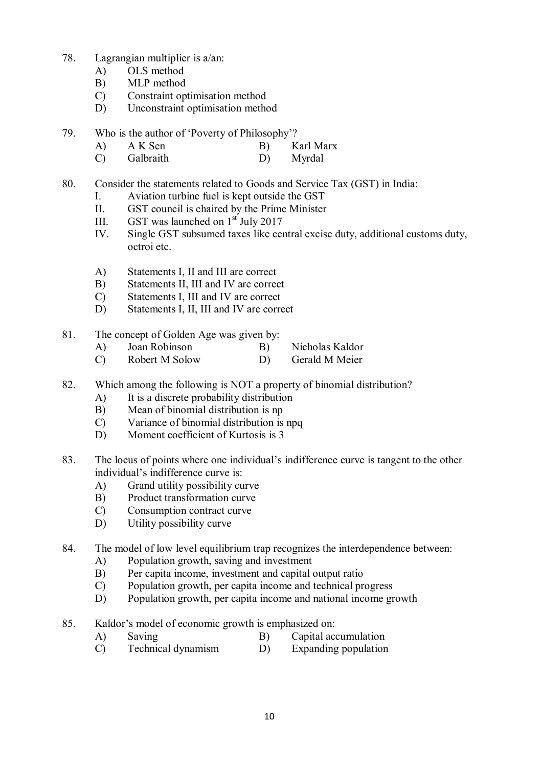- 78. Lagrangian multiplier is a/an:
	- A) OLS method
	- B) MLP method
	- C) Constraint optimisation method
	- D) Unconstraint optimisation method
- 79. Who is the author of 'Poverty of Philosophy'?
	- A) A K Sen B) Karl Marx
	- C) Galbraith D) Myrdal
- 80. Consider the statements related to Goods and Service Tax (GST) in India:
	- I. Aviation turbine fuel is kept outside the GST
	- II. GST council is chaired by the Prime Minister
	- III. GST was launched on  $1<sup>st</sup>$  July 2017
	- IV. Single GST subsumed taxes like central excise duty, additional customs duty, octroi etc.
	- A) Statements I, II and III are correct
	- B) Statements II, III and IV are correct
	- C) Statements I, III and IV are correct
	- D) Statements I, II, III and IV are correct
- 81. The concept of Golden Age was given by:
	- A) Joan Robinson B) Nicholas Kaldor
	- C) Robert M Solow D) Gerald M Meier
- 82. Which among the following is NOT a property of binomial distribution?
	- A) It is a discrete probability distribution
	- B) Mean of binomial distribution is np
	- C) Variance of binomial distribution is npq
	- D) Moment coefficient of Kurtosis is 3
- 83. The locus of points where one individual's indifference curve is tangent to the other individual's indifference curve is:
	- A) Grand utility possibility curve
	- B) Product transformation curve
	- C) Consumption contract curve
	- D) Utility possibility curve
- 84. The model of low level equilibrium trap recognizes the interdependence between:
	- A) Population growth, saving and investment
	- B) Per capita income, investment and capital output ratio
	- C) Population growth, per capita income and technical progress
	- D) Population growth, per capita income and national income growth
- 85. Kaldor's model of economic growth is emphasized on:
	- A) Saving B) Capital accumulation
	- C) Technical dynamism D) Expanding population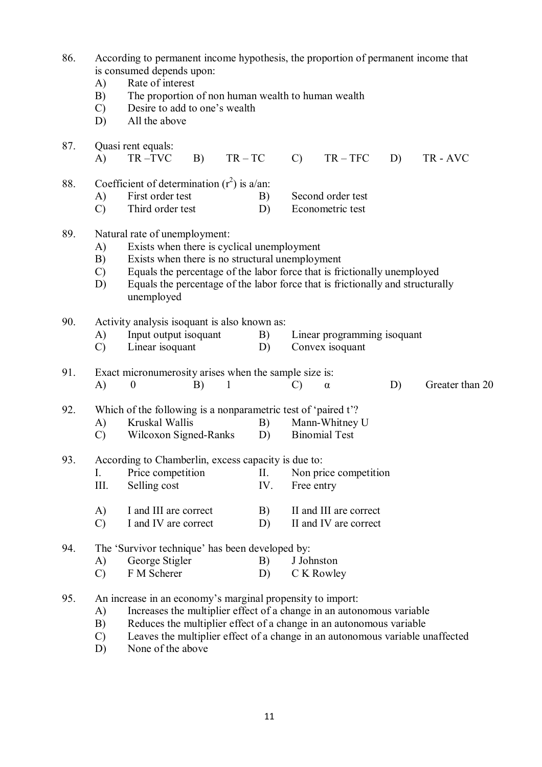| 86. | $\mathbf{A}$<br>B)<br>$\mathcal{C}$<br>D)                                                                                                          | According to permanent income hypothesis, the proportion of permanent income that<br>is consumed depends upon:<br>Rate of interest<br>The proportion of non human wealth to human wealth<br>Desire to add to one's wealth<br>All the above |    |              |                  |               |                             |    |                 |  |  |
|-----|----------------------------------------------------------------------------------------------------------------------------------------------------|--------------------------------------------------------------------------------------------------------------------------------------------------------------------------------------------------------------------------------------------|----|--------------|------------------|---------------|-----------------------------|----|-----------------|--|--|
| 87. | $\bf{A}$                                                                                                                                           | Quasi rent equals:<br>TR-TVC                                                                                                                                                                                                               | B) | $TR - TC$    |                  | $\mathcal{C}$ | $TR - TFC$                  | D) | TR-AVC          |  |  |
|     |                                                                                                                                                    |                                                                                                                                                                                                                                            |    |              |                  |               |                             |    |                 |  |  |
| 88. |                                                                                                                                                    | Coefficient of determination $(r^2)$ is a/an:                                                                                                                                                                                              |    |              |                  |               |                             |    |                 |  |  |
|     | A)                                                                                                                                                 | First order test                                                                                                                                                                                                                           |    |              | B)               |               | Second order test           |    |                 |  |  |
|     | $\mathcal{C}$                                                                                                                                      | Third order test                                                                                                                                                                                                                           |    |              | D)               |               | Econometric test            |    |                 |  |  |
| 89. |                                                                                                                                                    | Natural rate of unemployment:                                                                                                                                                                                                              |    |              |                  |               |                             |    |                 |  |  |
|     | A)                                                                                                                                                 | Exists when there is cyclical unemployment                                                                                                                                                                                                 |    |              |                  |               |                             |    |                 |  |  |
|     | B)                                                                                                                                                 | Exists when there is no structural unemployment                                                                                                                                                                                            |    |              |                  |               |                             |    |                 |  |  |
|     | $\mathcal{C}$                                                                                                                                      | Equals the percentage of the labor force that is frictionally unemployed                                                                                                                                                                   |    |              |                  |               |                             |    |                 |  |  |
|     | D)                                                                                                                                                 | Equals the percentage of the labor force that is frictionally and structurally<br>unemployed                                                                                                                                               |    |              |                  |               |                             |    |                 |  |  |
| 90. | Activity analysis isoquant is also known as:                                                                                                       |                                                                                                                                                                                                                                            |    |              |                  |               |                             |    |                 |  |  |
|     | A)                                                                                                                                                 | Input output isoquant                                                                                                                                                                                                                      |    |              | B)               |               | Linear programming isoquant |    |                 |  |  |
|     | $\mathcal{C}$                                                                                                                                      | Linear isoquant                                                                                                                                                                                                                            |    |              | D)               |               | Convex isoquant             |    |                 |  |  |
| 91. |                                                                                                                                                    | Exact micronumerosity arises when the sample size is:                                                                                                                                                                                      |    |              |                  |               |                             |    |                 |  |  |
|     | A)                                                                                                                                                 | $\boldsymbol{0}$                                                                                                                                                                                                                           | B) | $\mathbf{1}$ |                  | $\mathcal{C}$ | $\alpha$                    | D) | Greater than 20 |  |  |
| 92. |                                                                                                                                                    | Which of the following is a nonparametric test of 'paired t'?                                                                                                                                                                              |    |              |                  |               |                             |    |                 |  |  |
|     | A)                                                                                                                                                 | Kruskal Wallis                                                                                                                                                                                                                             |    |              | B)               |               | Mann-Whitney U              |    |                 |  |  |
|     | $\mathcal{C}$                                                                                                                                      | Wilcoxon Signed-Ranks                                                                                                                                                                                                                      |    |              | D)               |               | <b>Binomial Test</b>        |    |                 |  |  |
| 93. | According to Chamberlin, excess capacity is due to:                                                                                                |                                                                                                                                                                                                                                            |    |              |                  |               |                             |    |                 |  |  |
|     | I.                                                                                                                                                 | Price competition                                                                                                                                                                                                                          |    |              | II.              |               | Non price competition       |    |                 |  |  |
|     | III.                                                                                                                                               | Selling cost                                                                                                                                                                                                                               |    |              | IV.              | Free entry    |                             |    |                 |  |  |
|     | A)                                                                                                                                                 | I and III are correct                                                                                                                                                                                                                      |    |              | B)               |               | II and III are correct      |    |                 |  |  |
|     | $\mathcal{C}$                                                                                                                                      | I and IV are correct                                                                                                                                                                                                                       |    |              | D)               |               | II and IV are correct       |    |                 |  |  |
| 94. |                                                                                                                                                    | The 'Survivor technique' has been developed by:                                                                                                                                                                                            |    |              |                  |               |                             |    |                 |  |  |
|     | A)                                                                                                                                                 | George Stigler                                                                                                                                                                                                                             |    |              | J Johnston<br>B) |               |                             |    |                 |  |  |
|     | $\mathcal{C}$                                                                                                                                      | F M Scherer                                                                                                                                                                                                                                |    |              | D)               |               | C K Rowley                  |    |                 |  |  |
| 95. |                                                                                                                                                    | An increase in an economy's marginal propensity to import:                                                                                                                                                                                 |    |              |                  |               |                             |    |                 |  |  |
|     | A)                                                                                                                                                 |                                                                                                                                                                                                                                            |    |              |                  |               |                             |    |                 |  |  |
|     | Increases the multiplier effect of a change in an autonomous variable<br>Reduces the multiplier effect of a change in an autonomous variable<br>B) |                                                                                                                                                                                                                                            |    |              |                  |               |                             |    |                 |  |  |

- C) Leaves the multiplier effect of a change in an autonomous variable unaffected
- D) None of the above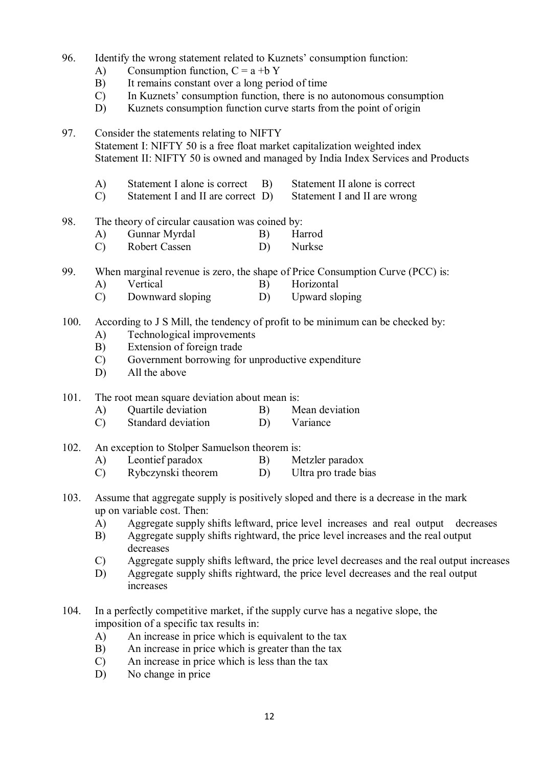- 96. Identify the wrong statement related to Kuznets' consumption function:
	- A) Consumption function,  $C = a + bY$
	- B) It remains constant over a long period of time
	- C) In Kuznets' consumption function, there is no autonomous consumption
	- D) Kuznets consumption function curve starts from the point of origin

97. Consider the statements relating to NIFTY Statement I: NIFTY 50 is a free float market capitalization weighted index Statement II: NIFTY 50 is owned and managed by India Index Services and Products

- A) Statement I alone is correct B) Statement II alone is correct
- C) Statement I and II are correct D) Statement I and II are wrong
- 98. The theory of circular causation was coined by:
	- A) Gunnar Myrdal B) Harrod
	- C) Robert Cassen D) Nurkse
- 99. When marginal revenue is zero, the shape of Price Consumption Curve (PCC) is:
	- A) Vertical B) Horizontal
	- C) Downward sloping D) Upward sloping
- 100. According to J S Mill, the tendency of profit to be minimum can be checked by:
	- A) Technological improvements
	- B) Extension of foreign trade
	- C) Government borrowing for unproductive expenditure
	- D) All the above
- 101. The root mean square deviation about mean is:
	- A) Quartile deviation B) Mean deviation
		- C) Standard deviation D) Variance
- 102. An exception to Stolper Samuelson theorem is:
	- A) Leontief paradox B) Metzler paradox
	- C) Rybczynski theorem D) Ultra pro trade bias
- 103. Assume that aggregate supply is positively sloped and there is a decrease in the mark up on variable cost. Then:
	- A) Aggregate supply shifts leftward, price level increases and real output decreases B) Aggregate supply shifts rightward, the price level increases and the real output
	- Aggregate supply shifts rightward, the price level increases and the real output decreases
	- C) Aggregate supply shifts leftward, the price level decreases and the real output increases
	- D) Aggregate supply shifts rightward, the price level decreases and the real output increases
- 104. In a perfectly competitive market, if the supply curve has a negative slope, the imposition of a specific tax results in:
	- A) An increase in price which is equivalent to the tax
	- B) An increase in price which is greater than the tax
	- C) An increase in price which is less than the tax
	- D) No change in price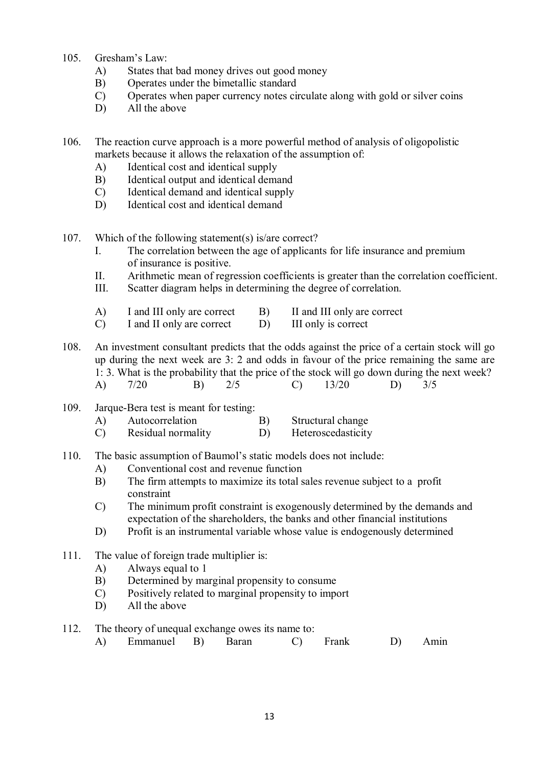- 105. Gresham's Law:
	- A) States that bad money drives out good money
	- B) Operates under the bimetallic standard
	- C) Operates when paper currency notes circulate along with gold or silver coins
	- D) All the above
- 106. The reaction curve approach is a more powerful method of analysis of oligopolistic markets because it allows the relaxation of the assumption of:
	- A) Identical cost and identical supply
	- B) Identical output and identical demand
	- C) Identical demand and identical supply
	- D) Identical cost and identical demand
- 107. Which of the following statement(s) is/are correct?
	- I. The correlation between the age of applicants for life insurance and premium of insurance is positive.
	- II. Arithmetic mean of regression coefficients is greater than the correlation coefficient.
	- III. Scatter diagram helps in determining the degree of correlation.
	- A) I and III only are correct B) II and III only are correct C) I and II only is correct
	- C) I and II only are correct D) III only is correct
- 108. An investment consultant predicts that the odds against the price of a certain stock will go up during the next week are 3: 2 and odds in favour of the price remaining the same are 1: 3. What is the probability that the price of the stock will go down during the next week? A) 7/20 B) 2/5 C) 13/20 D) 3/5
- 109. Jarque-Bera test is meant for testing:
	- A) Autocorrelation B) Structural change
	- C) Residual normality D) Heteroscedasticity
- 110. The basic assumption of Baumol's static models does not include:
	- A) Conventional cost and revenue function
	- B) The firm attempts to maximize its total sales revenue subject to a profit constraint
	- C) The minimum profit constraint is exogenously determined by the demands and expectation of the shareholders, the banks and other financial institutions
	- D) Profit is an instrumental variable whose value is endogenously determined
- 111. The value of foreign trade multiplier is:
	- A) Always equal to 1
	- B) Determined by marginal propensity to consume<br>C) Positively related to marginal propensity to import
	- Positively related to marginal propensity to import
	- D) All the above
- 112. The theory of unequal exchange owes its name to:
	- A) Emmanuel B) Baran C) Frank D) Amin